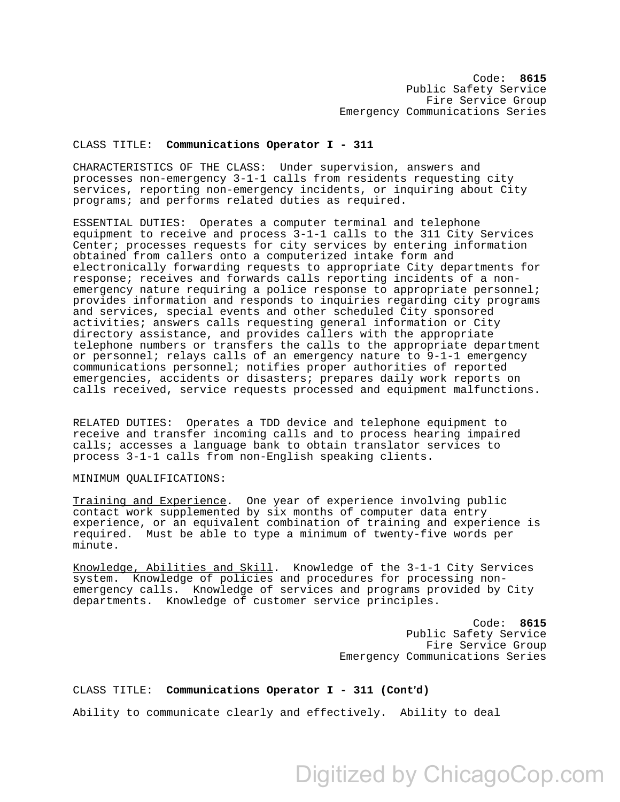## CLASS TITLE: **Communications Operator I - 311**

CHARACTERISTICS OF THE CLASS: Under supervision, answers and processes non-emergency 3-1-1 calls from residents requesting city services, reporting non-emergency incidents, or inquiring about City programs; and performs related duties as required.

ESSENTIAL DUTIES: Operates a computer terminal and telephone equipment to receive and process 3-1-1 calls to the 311 City Services Center; processes requests for city services by entering information obtained from callers onto a computerized intake form and electronically forwarding requests to appropriate City departments for response; receives and forwards calls reporting incidents of a nonemergency nature requiring a police response to appropriate personnel; provides information and responds to inquiries regarding city programs and services, special events and other scheduled City sponsored activities; answers calls requesting general information or City directory assistance, and provides callers with the appropriate telephone numbers or transfers the calls to the appropriate department or personnel; relays calls of an emergency nature to 9-1-1 emergency communications personnel; notifies proper authorities of reported emergencies, accidents or disasters; prepares daily work reports on calls received, service requests processed and equipment malfunctions.

RELATED DUTIES: Operates a TDD device and telephone equipment to receive and transfer incoming calls and to process hearing impaired calls; accesses a language bank to obtain translator services to process 3-1-1 calls from non-English speaking clients.

## MINIMUM QUALIFICATIONS:

Training and Experience. One year of experience involving public contact work supplemented by six months of computer data entry experience, or an equivalent combination of training and experience is required. Must be able to type a minimum of twenty-five words per minute.

Knowledge, Abilities and Skill. Knowledge of the 3-1-1 City Services system. Knowledge of policies and procedures for processing nonemergency calls. Knowledge of services and programs provided by City departments. Knowledge of customer service principles.

> Code: **8615**  Public Safety Service Fire Service Group Emergency Communications Series

## CLASS TITLE: **Communications Operator I - 311 (Cont'd)**

Ability to communicate clearly and effectively. Ability to deal

Digitized by ChicagoCop.com